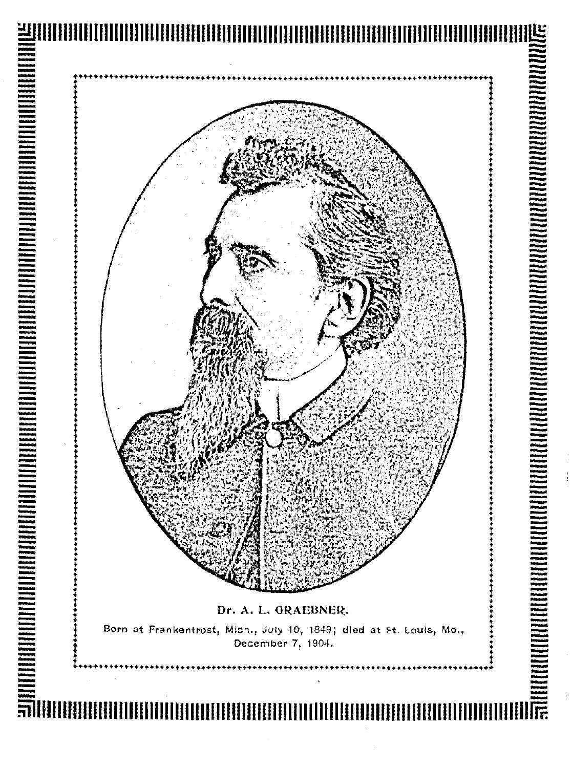